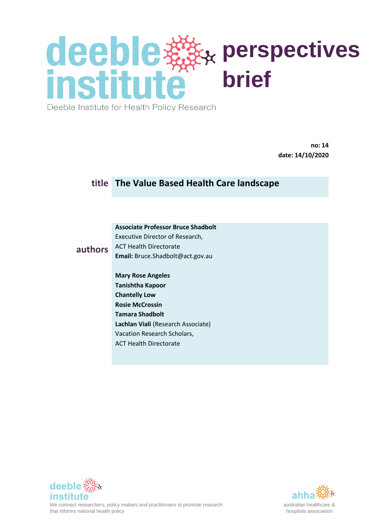Deeble Institute for Health Policy Research

**no: 14 date: 14/10/2020**

### **title The Value Based Health Care landscape**

#### **Associate Professor Bruce Shadbolt** Executive Director of Research, ACT Health Directorate

**Email:** Bruce.Shadbolt@act.gov.au

#### **authors**

**Mary Rose Angeles Tanishtha Kapoor Chantelly Low Rosie McCrossin Tamara Shadbolt Lachlan Viali** (Research Associate) Vacation Research Scholars, ACT Health Directorate



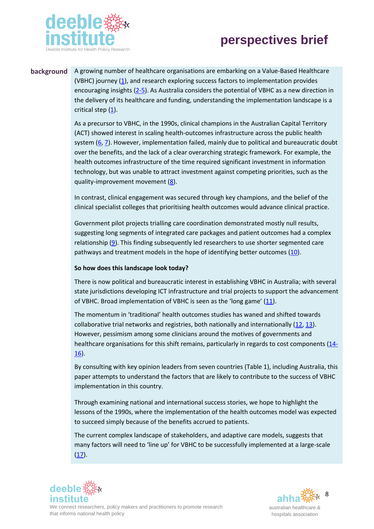



**background** A growing number of healthcare organisations are embarking on a Value-Based Healthcare (VBHC) journey (1), and research exploring success factors to implementation provides encouraging insights [\(2-5\)](#page-15-0). As Australia considers the potential of VBHC as a new direction in the delivery of its healthcare and funding, understanding the implementation landscape is a critical step (1).

> As a precursor to VBHC, in the 1990s, clinical champions in the Australian Capital Territory (ACT) showed interest in scaling health-outcomes infrastructure across the public health system [\(6,](#page-15-1) [7\)](#page-15-2). However, implementation failed, mainly due to political and bureaucratic doubt over the benefits, and the lack of a clear overarching strategic framework. For example, the health outcomes infrastructure of the time required significant investment in information technology, but was unable to attract investment against competing priorities, such as the quality-improvement movement [\(8\)](#page-15-3).

In contrast, clinical engagement was secured through key champions, and the belief of the clinical specialist colleges that prioritising health outcomes would advance clinical practice.

Government pilot projects trialling care coordination demonstrated mostly null results, suggesting long segments of integrated care packages and patient outcomes had a complex relationship  $(9)$ . This finding subsequently led researchers to use shorter segmented care pathways and treatment models in the hope of identifying better outcomes [\(10\)](#page-16-1).

#### **So how does this landscape look today?**

There is now political and bureaucratic interest in establishing VBHC in Australia; with several state jurisdictions developing ICT infrastructure and trial projects to support the advancement of VBHC. Broad implementation of VBHC is seen as the 'long game' ([11\)](#page-16-2).

The momentum in 'traditional' health outcomes studies has waned and shifted towards collaborative trial networks and registries, both nationally and internationally [\(12,](#page-16-3) [13\)](#page-16-4). However, pessimism among some clinicians around the motives of governments and healthcare organisations for this shift remains, particularly in regards to cost components [\(14-](#page-16-5) [16\)](#page-16-5).

By consulting with key opinion leaders from seven countries (Table 1), including Australia, this paper attempts to understand the factors that are likely to contribute to the success of VBHC implementation in this country.

Through examining national and international success stories, we hope to highlight the lessons of the 1990s, where the implementation of the health outcomes model was expected to succeed simply because of the benefits accrued to patients.

The current complex landscape of stakeholders, and adaptive care models, suggests that many factors will need to 'line up' for VBHC to be successfully implemented at a large-scale  $(17)$ .



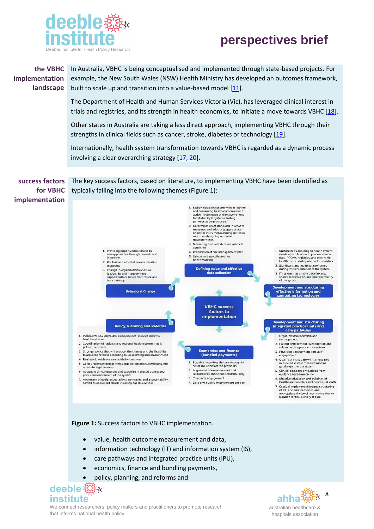

#### In Australia, VBHC is being conceptualised and implemented through state-based projects. For **the VBHC implementation** example, the New South Wales (NSW) Health Ministry has developed an outcomes framework, **landscape** built to scale up and transition into a value-based model  $[11]$ . The Department of Health and Human Services Victoria (Vic), has leveraged clinical interest in trials and registries, and its strength in health economics, to initiate a move towards VBHC  $[18]$ . Other states in Australia are taking a less direct approach, implementing VBHC through their strengths in clinical fields such as cancer, stroke, diabetes or technology [\[19\]](#page-16-8). Internationally, health system transformation towards VBHC is regarded as a dynamic process involving a clear overarching strategy [\[17,](#page-16-6) 20]. **success factors**  The key success factors, based on literature, to implementing VBHC have been identified as typically falling into the following themes (Figure 1): **for VBHC implementation** 1. Stakeholders engagement in collecting<br>and measuring health outcomes with<br>active involvement of the government<br>facilitated by IT systems. Noting<br>patient's as co-producers. patients as co-producers.<br>2 Determination of standards in what to<br>measures and adopting appropriate<br>choice of instruments, noting patient's<br>role in co-designing outcome<br>measurements. 3. Measuring true cost data per medical<br>condition 1. Providing opportunities forwin-to-<br>win approaches through rewards and<br>incentives 1. Customized according to health system<br>needs which holds and process clinical<br>data. PROMs, registries, and electronic<br>health records integrated with analytics 4. Preparation of risk management plan 5. Using the data collected for<br>benchmarking 2 Routine and efficient communication strategies 2. Significant and realistic timeframes strategies<br>3. Change in organizational culture,<br>leadership and management<br>supportCulture based from Trust and<br>transparency Defining value and effective during implementation of the system during implementation of the system<br>3. IT system that enable data linkage.<br>shared information, and interoperability<br>of the system data collection **Development and structuring**<br>effective information and **Behavioral Change** computing technologies **VBHC success** factors to implementation Development and structuring<br>integrated practice units and<br>care pathways **Policy, Planning and Reforms** 1. Political will, support, and collaboration focus on patients<br>health outcome 1. Organization leadership and<br>management 2. Coordination of national and regional health system that is 2. Patient engagement, participation and<br>role as co-designers in this system patient-centered **Economics and finance**<br>(bundled payments) 3. Stronger policy that will support the change and the flexibility<br>to adjusted reforms according to local setting and environment 3. Physician engagement and staff<br>engagement 4. Quality primary care with a huge role<br>in preventive care measures and as<br>gatekeepers in the system. 4 Real-world evidence as a quide for decision 4. Real-world evidence as a guide for decision<br>5. Good understanding of ethics application and submissions and<br>access to legal services 1. Sizeable incentives that are enough to offset the efforts of the providers 2. Alignment of measurement and<br>performance threshold benchm S. Clinical decisions embedded from<br>evidence based-medicine 6. Adequate time, resources and expertise in placed during and<br>prior commencement of the system .<br>harking 3. Clinician's engagement 6. Effective education and trainings of 7. Alignment of goals, expectations, payments, and accountability, as well as consistent efforts in rolling out this system 4. Data and quality improvement support healthcare providers and nonclinical staffs T. Gradual implementation and structuring<br>of IPU and care pathways, and<br>appropriate choice of most cost-effective<br>location for the delivery of care

**Figure 1:** Success factors to VBHC implementation.

- value, health outcome measurement and data,
- information technology (IT) and information system (IS),
- care pathways and integrated practice units (IPU),
- economics, finance and bundling payments,
- policy, planning, and reforms and

**deeble**笼没k **institute ahha**

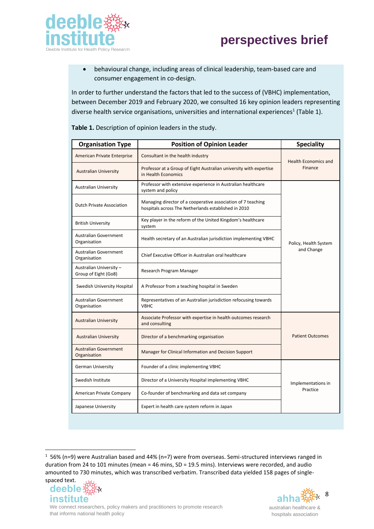

• behavioural change, including areas of clinical leadership, team-based care and consumer engagement in co-design.

In order to further understand the factors that led to the success of (VBHC) implementation, between December 2019 and February 2020, we consulted 16 key opinion leaders representing diverse health service organisations, universities and international experiences<sup>1</sup> (Table 1).

| <b>Organisation Type</b>                       | <b>Position of Opinion Leader</b>                                                                                    | <b>Speciality</b>                      |
|------------------------------------------------|----------------------------------------------------------------------------------------------------------------------|----------------------------------------|
| American Private Enterprise                    | Consultant in the health industry                                                                                    | <b>Health Economics and</b><br>Finance |
| <b>Australian University</b>                   | Professor at a Group of Eight Australian university with expertise<br>in Health Economics                            |                                        |
| <b>Australian University</b>                   | Professor with extensive experience in Australian healthcare<br>system and policy                                    | Policy, Health System<br>and Change    |
| <b>Dutch Private Association</b>               | Managing director of a cooperative association of 7 teaching<br>hospitals across The Netherlands established in 2010 |                                        |
| <b>British University</b>                      | Key player in the reform of the United Kingdom's healthcare<br>system                                                |                                        |
| <b>Australian Government</b><br>Organisation   | Health secretary of an Australian jurisdiction implementing VBHC                                                     |                                        |
| Australian Government<br>Organisation          | Chief Executive Officer in Australian oral healthcare                                                                |                                        |
| Australian University-<br>Group of Eight (Go8) | Research Program Manager                                                                                             |                                        |
| Swedish University Hospital                    | A Professor from a teaching hospital in Sweden                                                                       |                                        |
| Australian Government<br>Organisation          | Representatives of an Australian jurisdiction refocusing towards<br><b>VBHC</b>                                      |                                        |
| <b>Australian University</b>                   | Associate Professor with expertise in health outcomes research<br>and consulting                                     | <b>Patient Outcomes</b>                |
| <b>Australian University</b>                   | Director of a benchmarking organisation                                                                              |                                        |
| <b>Australian Government</b><br>Organisation   | Manager for Clinical Information and Decision Support                                                                |                                        |
| <b>German University</b>                       | Founder of a clinic implementing VBHC                                                                                | Implementations in<br>Practice         |
| Swedish Institute                              | Director of a University Hospital implementing VBHC                                                                  |                                        |
| American Private Company                       | Co-founder of benchmarking and data set company                                                                      |                                        |
| Japanese University                            | Expert in health care system reform in Japan                                                                         |                                        |

**Table 1.** Description of opinion leaders in the study.

 $1$  56% (n=9) were Australian based and 44% (n=7) were from overseas. Semi-structured interviews ranged in duration from 24 to 101 minutes (mean = 46 mins, SD = 19.5 mins). Interviews were recorded, and audio amounted to 730 minutes, which was transcribed verbatim. Transcribed data yielded 158 pages of singlespaced text.



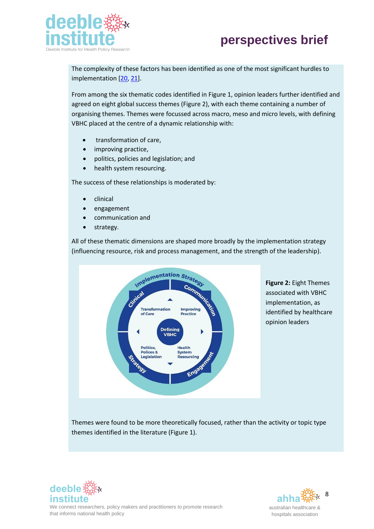

The complexity of these factors has been identified as one of the most significant hurdles to implementation [\[20,](#page-17-0) [21\]](#page-17-1).

From among the six thematic codes identified in Figure 1, opinion leaders further identified and agreed on eight global success themes (Figure 2), with each theme containing a number of organising themes. Themes were focussed across macro, meso and micro levels, with defining VBHC placed at the centre of a dynamic relationship with:

- transformation of care,
- improving practice,
- politics, policies and legislation; and
- health system resourcing.

The success of these relationships is moderated by:

- clinical
- engagement
- communication and
- strategy.

All of these thematic dimensions are shaped more broadly by the implementation strategy (influencing resource, risk and process management, and the strength of the leadership).



**Figure 2:** Eight Themes associated with VBHC implementation, as identified by healthcare opinion leaders

Themes were found to be more theoretically focused, rather than the activity or topic type themes identified in the literature (Figure 1).



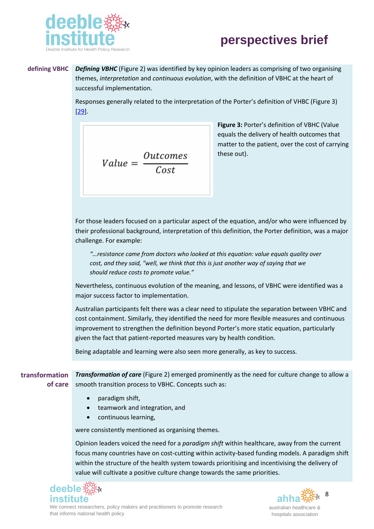

#### **defining VBHC** *Defining VBHC* (Figure 2) was identified by key opinion leaders as comprising of two organising themes, *interpretation* and *continuous evolution*, with the definition of VBHC at the heart of successful implementation.

Responses generally related to the interpretation of the Porter's definition of VHBC (Figure 3) [\[29\]](#page-17-2).

$$
Value = \frac{Outcomes}{Cost}
$$

**Figure 3:** Porter's definition of VBHC (Value equals the delivery of health outcomes that matter to the patient, over the cost of carrying these out).

For those leaders focused on a particular aspect of the equation, and/or who were influenced by their professional background, interpretation of this definition, the Porter definition, was a major challenge. For example:

*"…resistance came from doctors who looked at this equation: value equals quality over cost, and they said, "well, we think that this is just another way of saying that we should reduce costs to promote value."*

Nevertheless, continuous evolution of the meaning, and lessons, of VBHC were identified was a major success factor to implementation.

Australian participants felt there was a clear need to stipulate the separation between VBHC and cost containment. Similarly, they identified the need for more flexible measures and continuous improvement to strengthen the definition beyond Porter's more static equation, particularly given the fact that patient-reported measures vary by health condition.

Being adaptable and learning were also seen more generally, as key to success.

**transformation Transformation of care** (Figure 2) emerged prominently as the need for culture change to allow a **of care** smooth transition process to VBHC. Concepts such as:

- paradigm shift,
- teamwork and integration, and
- continuous learning,

were consistently mentioned as organising themes.

Opinion leaders voiced the need for a *paradigm shift* within healthcare, away from the current focus many countries have on cost-cutting within activity-based funding models. A paradigm shift within the structure of the health system towards prioritising and incentivising the delivery of value will cultivate a positive culture change towards the same priorities.



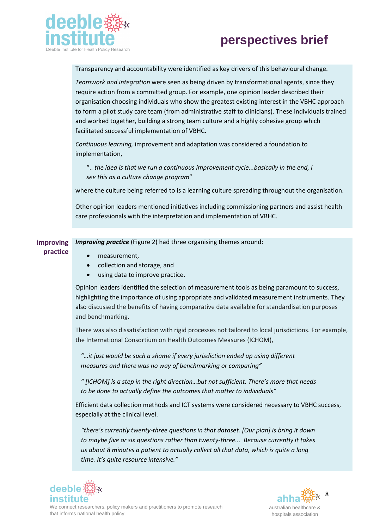



Transparency and accountability were identified as key drivers of this behavioural change.

*Teamwork and integration* were seen as being driven by transformational agents, since they require action from a committed group. For example, one opinion leader described their organisation choosing individuals who show the greatest existing interest in the VBHC approach to form a pilot study care team (from administrative staff to clinicians). These individuals trained and worked together, building a strong team culture and a highly cohesive group which facilitated successful implementation of VBHC.

*Continuous learning,* improvement and adaptation was considered a foundation to implementation,

".. *the idea is that we run a continuous improvement cycle...basically in the end, I see this as a culture change program*"

where the culture being referred to is a learning culture spreading throughout the organisation.

Other opinion leaders mentioned initiatives including commissioning partners and assist health care professionals with the interpretation and implementation of VBHC.

**improving**  *Improving practice* (Figure 2) had three organising themes around:

• measurement,

**practice**

- collection and storage, and
- using data to improve practice.

Opinion leaders identified the selection of measurement tools as being paramount to success, highlighting the importance of using appropriate and validated measurement instruments. They also discussed the benefits of having comparative data available for standardisation purposes and benchmarking.

There was also dissatisfaction with rigid processes not tailored to local jurisdictions. For example, the International Consortium on Health Outcomes Measures (ICHOM),

*"…it just would be such a shame if every jurisdiction ended up using different measures and there was no way of benchmarking or comparing"* 

*" [ICHOM] is a step in the right direction…but not sufficient. There's more that needs to be done to actually define the outcomes that matter to individuals"*

Efficient data collection methods and ICT systems were considered necessary to VBHC success, especially at the clinical level.

*"there's currently twenty-three questions in that dataset. [Our plan] is bring it down to maybe five or six questions rather than twenty-three... Because currently it takes us about 8 minutes a patient to actually collect all that data, which is quite a long time. It's quite resource intensive."*





We connect researchers, policy makers and practitioners to promote research that informs national health policy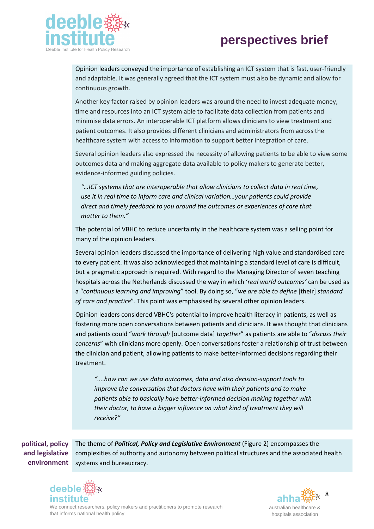

Opinion leaders conveyed the importance of establishing an ICT system that is fast, user-friendly and adaptable. It was generally agreed that the ICT system must also be dynamic and allow for continuous growth.

Another key factor raised by opinion leaders was around the need to invest adequate money, time and resources into an ICT system able to facilitate data collection from patients and minimise data errors. An interoperable ICT platform allows clinicians to view treatment and patient outcomes. It also provides different clinicians and administrators from across the healthcare system with access to information to support better integration of care.

Several opinion leaders also expressed the necessity of allowing patients to be able to view some outcomes data and making aggregate data available to policy makers to generate better, evidence-informed guiding policies.

*"…ICT systems that are interoperable that allow clinicians to collect data in real time, use it in real time to inform care and clinical variation…your patients could provide direct and timely feedback to you around the outcomes or experiences of care that matter to them."* 

The potential of VBHC to reduce uncertainty in the healthcare system was a selling point for many of the opinion leaders.

Several opinion leaders discussed the importance of delivering high value and standardised care to every patient. It was also acknowledged that maintaining a standard level of care is difficult, but a pragmatic approach is required. With regard to the Managing Director of seven teaching hospitals across the Netherlands discussed the way in which '*real world outcomes'* can be used as a "*continuous learning and improving*" tool. By doing so, "*we are able to define* [their] *standard of care and practice*". This point was emphasised by several other opinion leaders.

Opinion leaders considered VBHC's potential to improve health literacy in patients, as well as fostering more open conversations between patients and clinicians. It was thought that clinicians and patients could "*work through* [outcome data] *together*" as patients are able to "*discuss their concerns*" with clinicians more openly. Open conversations foster a relationship of trust between the clinician and patient, allowing patients to make better-informed decisions regarding their treatment.

*"....how can we use data outcomes, data and also decision-support tools to improve the conversation that doctors have with their patients and to make patients able to basically have better-informed decision making together with their doctor, to have a bigger influence on what kind of treatment they will receive?"* 

**political, policy and legislative environment** The theme of *Political, Policy and Legislative Environment* (Figure 2) encompasses the complexities of authority and autonomy between political structures and the associated health systems and bureaucracy.





We connect researchers, policy makers and practitioners to promote research that informs national health policy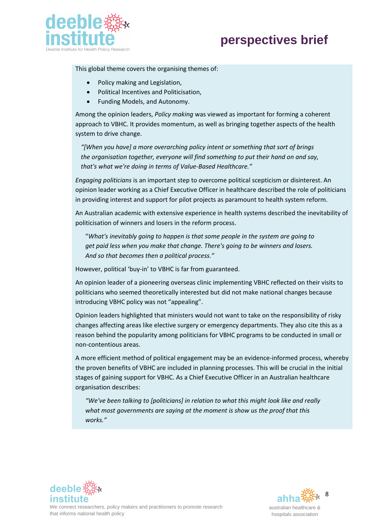



This global theme covers the organising themes of:

- Policy making and Legislation,
- Political Incentives and Politicisation,
- Funding Models, and Autonomy.

Among the opinion leaders, *Policy making* was viewed as important for forming a coherent approach to VBHC. It provides momentum, as well as bringing together aspects of the health system to drive change.

*"[When you have] a more overarching policy intent or something that sort of brings the organisation together, everyone will find something to put their hand on and say, that's what we're doing in terms of Value-Based Healthcare."*

*Engaging politicians* is an important step to overcome political scepticism or disinterest. An opinion leader working as a Chief Executive Officer in healthcare described the role of politicians in providing interest and support for pilot projects as paramount to health system reform.

An Australian academic with extensive experience in health systems described the inevitability of politicisation of winners and losers in the reform process.

"*What's inevitably going to happen is that some people in the system are going to get paid less when you make that change. There's going to be winners and losers. And so that becomes then a political process."*

However, political 'buy-in' to VBHC is far from guaranteed.

An opinion leader of a pioneering overseas clinic implementing VBHC reflected on their visits to politicians who seemed theoretically interested but did not make national changes because introducing VBHC policy was not "appealing".

Opinion leaders highlighted that ministers would not want to take on the responsibility of risky changes affecting areas like elective surgery or emergency departments. They also cite this as a reason behind the popularity among politicians for VBHC programs to be conducted in small or non-contentious areas.

A more efficient method of political engagement may be an evidence-informed process, whereby the proven benefits of VBHC are included in planning processes. This will be crucial in the initial stages of gaining support for VBHC. As a Chief Executive Officer in an Australian healthcare organisation describes:

*"We've been talking to [politicians] in relation to what this might look like and really what most governments are saying at the moment is show us the proof that this works."*



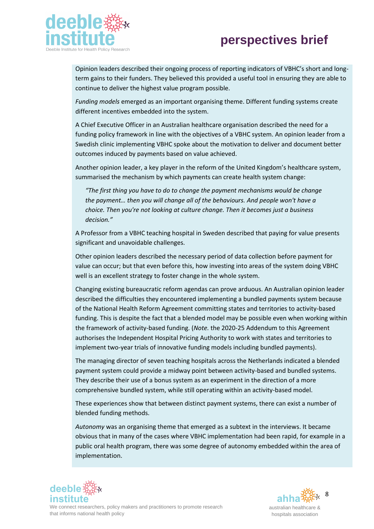

Opinion leaders described their ongoing process of reporting indicators of VBHC's short and longterm gains to their funders. They believed this provided a useful tool in ensuring they are able to continue to deliver the highest value program possible.

*Funding models* emerged as an important organising theme. Different funding systems create different incentives embedded into the system.

A Chief Executive Officer in an Australian healthcare organisation described the need for a funding policy framework in line with the objectives of a VBHC system. An opinion leader from a Swedish clinic implementing VBHC spoke about the motivation to deliver and document better outcomes induced by payments based on value achieved.

Another opinion leader, a key player in the reform of the United Kingdom's healthcare system, summarised the mechanism by which payments can create health system change:

*"The first thing you have to do to change the payment mechanisms would be change the payment… then you will change all of the behaviours. And people won't have a choice. Then you're not looking at culture change. Then it becomes just a business decision."*

A Professor from a VBHC teaching hospital in Sweden described that paying for value presents significant and unavoidable challenges.

Other opinion leaders described the necessary period of data collection before payment for value can occur; but that even before this, how investing into areas of the system doing VBHC well is an excellent strategy to foster change in the whole system.

Changing existing bureaucratic reform agendas can prove arduous. An Australian opinion leader described the difficulties they encountered implementing a bundled payments system because of the National Health Reform Agreement committing states and territories to activity-based funding. This is despite the fact that a blended model may be possible even when working within the framework of activity-based funding. (*Note.* the 2020-25 Addendum to this Agreement authorises the Independent Hospital Pricing Authority to work with states and territories to implement two-year trials of innovative funding models including bundled payments).

The managing director of seven teaching hospitals across the Netherlands indicated a blended payment system could provide a midway point between activity-based and bundled systems. They describe their use of a bonus system as an experiment in the direction of a more comprehensive bundled system, while still operating within an activity-based model.

These experiences show that between distinct payment systems, there can exist a number of blended funding methods.

*Autonomy* was an organising theme that emerged as a subtext in the interviews. It became obvious that in many of the cases where VBHC implementation had been rapid, for example in a public oral health program, there was some degree of autonomy embedded within the area of implementation.





We connect researchers, policy makers and practitioners to promote research that informs national health policy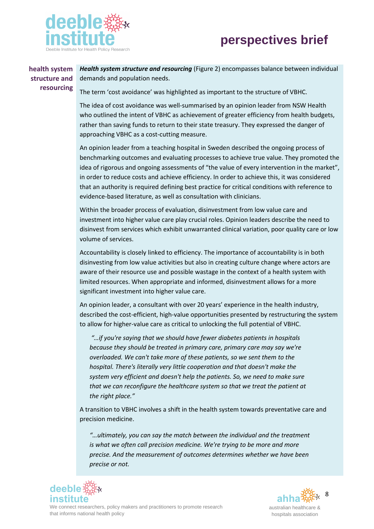



#### **health system structure and resourcing**

*Health system structure and resourcing* (Figure 2) encompasses balance between individual demands and population needs.

The term 'cost avoidance' was highlighted as important to the structure of VBHC.

The idea of cost avoidance was well-summarised by an opinion leader from NSW Health who outlined the intent of VBHC as achievement of greater efficiency from health budgets, rather than saving funds to return to their state treasury. They expressed the danger of approaching VBHC as a cost-cutting measure.

An opinion leader from a teaching hospital in Sweden described the ongoing process of benchmarking outcomes and evaluating processes to achieve true value. They promoted the idea of rigorous and ongoing assessments of "the value of every intervention in the market", in order to reduce costs and achieve efficiency. In order to achieve this, it was considered that an authority is required defining best practice for critical conditions with reference to evidence-based literature, as well as consultation with clinicians.

Within the broader process of evaluation, disinvestment from low value care and investment into higher value care play crucial roles. Opinion leaders describe the need to disinvest from services which exhibit unwarranted clinical variation, poor quality care or low volume of services.

Accountability is closely linked to efficiency. The importance of accountability is in both disinvesting from low value activities but also in creating culture change where actors are aware of their resource use and possible wastage in the context of a health system with limited resources. When appropriate and informed, disinvestment allows for a more significant investment into higher value care.

An opinion leader, a consultant with over 20 years' experience in the health industry, described the cost-efficient, high-value opportunities presented by restructuring the system to allow for higher-value care as critical to unlocking the full potential of VBHC.

*"…if you're saying that we should have fewer diabetes patients in hospitals because they should be treated in primary care, primary care may say we're overloaded. We can't take more of these patients, so we sent them to the hospital. There's literally very little cooperation and that doesn't make the system very efficient and doesn't help the patients. So, we need to make sure that we can reconfigure the healthcare system so that we treat the patient at the right place."*

A transition to VBHC involves a shift in the health system towards preventative care and precision medicine.

*"…ultimately, you can say the match between the individual and the treatment is what we often call precision medicine. We're trying to be more and more precise. And the measurement of outcomes determines whether we have been precise or not.* 



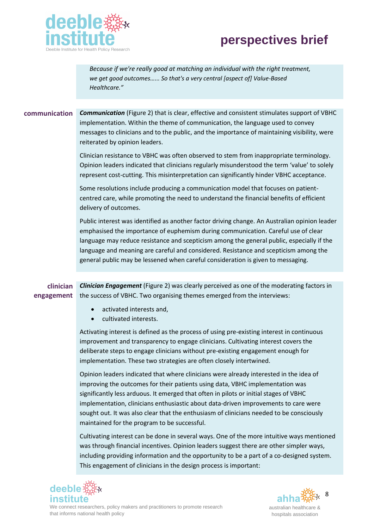

*Because if we're really good at matching an individual with the right treatment, we get good outcomes…... So that's a very central [aspect of] Value-Based Healthcare."*

#### **communication** *Communication* (Figure 2) that is clear, effective and consistent stimulates support of VBHC implementation. Within the theme of communication, the language used to convey messages to clinicians and to the public, and the importance of maintaining visibility, were reiterated by opinion leaders.

Clinician resistance to VBHC was often observed to stem from inappropriate terminology. Opinion leaders indicated that clinicians regularly misunderstood the term 'value' to solely represent cost-cutting. This misinterpretation can significantly hinder VBHC acceptance.

Some resolutions include producing a communication model that focuses on patientcentred care, while promoting the need to understand the financial benefits of efficient delivery of outcomes.

Public interest was identified as another factor driving change. An Australian opinion leader emphasised the importance of euphemism during communication. Careful use of clear language may reduce resistance and scepticism among the general public, especially if the language and meaning are careful and considered. Resistance and scepticism among the general public may be lessened when careful consideration is given to messaging.

**clinician engagement** *Clinician Engagement* (Figure 2) was clearly perceived as one of the moderating factors in the success of VBHC. Two organising themes emerged from the interviews:

- activated interests and,
- cultivated interests.

Activating interest is defined as the process of using pre-existing interest in continuous improvement and transparency to engage clinicians. Cultivating interest covers the deliberate steps to engage clinicians without pre-existing engagement enough for implementation. These two strategies are often closely intertwined.

Opinion leaders indicated that where clinicians were already interested in the idea of improving the outcomes for their patients using data, VBHC implementation was significantly less arduous. It emerged that often in pilots or initial stages of VBHC implementation, clinicians enthusiastic about data-driven improvements to care were sought out. It was also clear that the enthusiasm of clinicians needed to be consciously maintained for the program to be successful.

Cultivating interest can be done in several ways. One of the more intuitive ways mentioned was through financial incentives. Opinion leaders suggest there are other simpler ways, including providing information and the opportunity to be a part of a co-designed system. This engagement of clinicians in the design process is important:



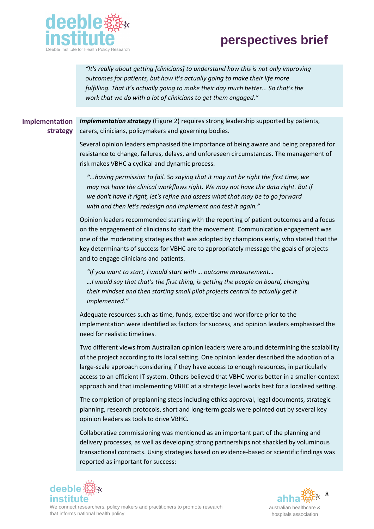



*"It's really about getting [clinicians] to understand how this is not only improving outcomes for patients, but how it's actually going to make their life more fulfilling. That it's actually going to make their day much better... So that's the work that we do with a lot of clinicians to get them engaged."*

**implementation strategy** *Implementation strategy* (Figure 2) requires strong leadership supported by patients, carers, clinicians, policymakers and governing bodies.

> Several opinion leaders emphasised the importance of being aware and being prepared for resistance to change, failures, delays, and unforeseen circumstances. The management of risk makes VBHC a cyclical and dynamic process.

*"...having permission to fail. So saying that it may not be right the first time, we may not have the clinical workflows right. We may not have the data right. But if we don't have it right, let's refine and assess what that may be to go forward with and then let's redesign and implement and test it again."*

Opinion leaders recommended starting with the reporting of patient outcomes and a focus on the engagement of clinicians to start the movement. Communication engagement was one of the moderating strategies that was adopted by champions early, who stated that the key determinants of success for VBHC are to appropriately message the goals of projects and to engage clinicians and patients.

*"If you want to start, I would start with … outcome measurement… …I would say that that's the first thing, is getting the people on board, changing their mindset and then starting small pilot projects central to actually get it implemented."*

Adequate resources such as time, funds, expertise and workforce prior to the implementation were identified as factors for success, and opinion leaders emphasised the need for realistic timelines.

Two different views from Australian opinion leaders were around determining the scalability of the project according to its local setting. One opinion leader described the adoption of a large-scale approach considering if they have access to enough resources, in particularly access to an efficient IT system. Others believed that VBHC works better in a smaller-context approach and that implementing VBHC at a strategic level works best for a localised setting.

The completion of preplanning steps including ethics approval, legal documents, strategic planning, research protocols, short and long-term goals were pointed out by several key opinion leaders as tools to drive VBHC.

Collaborative commissioning was mentioned as an important part of the planning and delivery processes, as well as developing strong partnerships not shackled by voluminous transactional contracts. Using strategies based on evidence-based or scientific findings was reported as important for success:



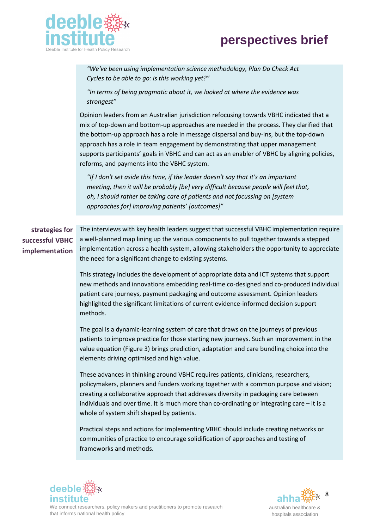

*"We've been using implementation science methodology, Plan Do Check Act Cycles to be able to go: is this working yet?"*

*"In terms of being pragmatic about it, we looked at where the evidence was strongest"*

Opinion leaders from an Australian jurisdiction refocusing towards VBHC indicated that a mix of top-down and bottom-up approaches are needed in the process. They clarified that the bottom-up approach has a role in message dispersal and buy-ins, but the top-down approach has a role in team engagement by demonstrating that upper management supports participants' goals in VBHC and can act as an enabler of VBHC by aligning policies, reforms, and payments into the VBHC system.

*"If I don't set aside this time, if the leader doesn't say that it's an important meeting, then it will be probably [be] very difficult because people will feel that, oh, I should rather be taking care of patients and not focussing on [system approaches for] improving patients' [outcomes]"*

**strategies for successful VBHC implementation**

The interviews with key health leaders suggest that successful VBHC implementation require a well-planned map lining up the various components to pull together towards a stepped implementation across a health system, allowing stakeholders the opportunity to appreciate the need for a significant change to existing systems.

This strategy includes the development of appropriate data and ICT systems that support new methods and innovations embedding real-time co-designed and co-produced individual patient care journeys, payment packaging and outcome assessment. Opinion leaders highlighted the significant limitations of current evidence-informed decision support methods.

The goal is a dynamic-learning system of care that draws on the journeys of previous patients to improve practice for those starting new journeys. Such an improvement in the value equation (Figure 3) brings prediction, adaptation and care bundling choice into the elements driving optimised and high value.

These advances in thinking around VBHC requires patients, clinicians, researchers, policymakers, planners and funders working together with a common purpose and vision; creating a collaborative approach that addresses diversity in packaging care between individuals and over time. It is much more than co-ordinating or integrating care – it is a whole of system shift shaped by patients.

Practical steps and actions for implementing VBHC should include creating networks or communities of practice to encourage solidification of approaches and testing of frameworks and methods.



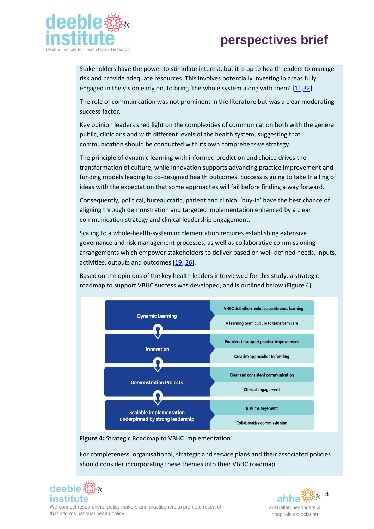

Stakeholders have the power to stimulate interest, but it is up to health leaders to manage risk and provide adequate resources. This involves potentially investing in areas fully engaged in the vision early on, to bring 'the whole system along with them' [[11,](#page-16-8)32].

The role of communication was not prominent in the literature but was a clear moderating success factor.

Key opinion leaders shed light on the complexities of communication both with the general public, clinicians and with different levels of the health system, suggesting that communication should be conducted with its own comprehensive strategy.

The principle of dynamic learning with informed prediction and choice drives the transformation of culture, while innovation supports advancing practice improvement and funding models leading to co-designed health outcomes. Success is going to take trialling of ideas with the expectation that some approaches will fail before finding a way forward.

Consequently, political, bureaucratic, patient and clinical 'buy-in' have the best chance of aligning through demonstration and targeted implementation enhanced by a clear communication strategy and clinical leadership engagement.

Scaling to a whole-health-system implementation requires establishing extensive governance and risk management processes, as well as collaborative commissioning arrangements which empower stakeholders to deliver based on well-defined needs, inputs, activities, outputs and outcomes [\[19,](#page-16-8) [26\]](#page-17-3).

Based on the opinions of the key health leaders interviewed for this study, a strategic roadmap to support VBHC success was developed, and is outlined below (Figure 4).



**Figure 4:** Strategic Roadmap to VBHC implementation

For completeness, organisational, strategic and service plans and their associated policies should consider incorporating these themes into their VBHC roadmap.



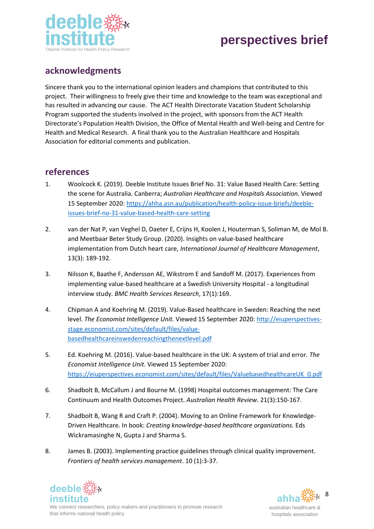

#### **acknowledgments**

Sincere thank you to the international opinion leaders and champions that contributed to this project. Their willingness to freely give their time and knowledge to the team was exceptional and has resulted in advancing our cause. The ACT Health Directorate Vacation Student Scholarship Program supported the students involved in the project, with sponsors from the ACT Health Directorate's Population Health Division, the Office of Mental Health and Well-being and Centre for Health and Medical Research. A final thank you to the Australian Healthcare and Hospitals Association for editorial comments and publication.

#### **references**

- 1. Woolcock K. (2019). Deeble Institute Issues Brief No. 31: Value Based Health Care: Setting the scene for Australia. Canberra; *Australian Healthcare and Hospitals Association*. Viewed 15 September 2020: [https://ahha.asn.au/publication/health-policy-issue-briefs/deeble](about:blank)[issues-brief-no-31-value-based-health-care-setting](about:blank)
- <span id="page-15-0"></span>2. van der Nat P, van Veghel D, Daeter E, Crijns H, Koolen J, Houterman S, Soliman M, de Mol B. and Meetbaar Beter Study Group. (2020). Insights on value-based healthcare implementation from Dutch heart care, *International Journal of Healthcare Management*, 13(3): 189-192.
- 3. Nilsson K, Baathe F, Andersson AE, Wikstrom E and Sandoff M. (2017). Experiences from implementing value-based healthcare at a Swedish University Hospital - a longitudinal interview study. *BMC Health Services Research*, 17(1):169.
- 4. Chipman A and Koehring M. (2019). Value-Based healthcare in Sweden: Reaching the next level. *The Economist Intelligence Unit.* Viewed 15 September 2020[: http://eiuperspectives](about:blank)[stage.economist.com/sites/default/files/value](about:blank)[basedhealthcareinswedenreachingthenextlevel.pdf](about:blank)
- 5. Ed. Koehring M. (2016). Value-based healthcare in the UK: A system of trial and error*. The Economist Intelligence Unit.* Viewed 15 September 2020: [https://eiuperspectives.economist.com/sites/default/files/ValuebasedhealthcareUK\\_0.pdf](about:blank)
- <span id="page-15-1"></span>6. Shadbolt B, McCallum J and Bourne M. (1998) Hospital outcomes management: The Care Continuum and Health Outcomes Project. *Australian Health Review.* 21(3):150-167.
- <span id="page-15-2"></span>7. Shadbolt B, Wang R and Craft P. (2004). Moving to an Online Framework for Knowledge-Driven Healthcare. In book: *Creating knowledge-based healthcare organizations.* Eds Wickramasinghe N, Gupta J and Sharma S.
- <span id="page-15-3"></span>8. James B. (2003). Implementing practice guidelines through clinical quality improvement. *Frontiers of health services management*. 10 (1):3-37.



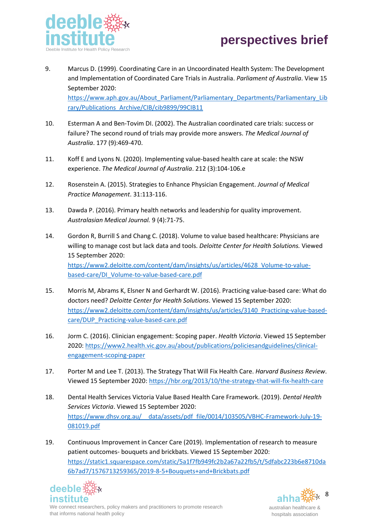

<span id="page-16-0"></span>9. Marcus D. (1999). Coordinating Care in an Uncoordinated Health System: The Development and Implementation of Coordinated Care Trials in Australia. *Parliament of Australia*. View 15 September 2020:

[https://www.aph.gov.au/About\\_Parliament/Parliamentary\\_Departments/Parliamentary\\_Lib](about:blank) [rary/Publications\\_Archive/CIB/cib9899/99CIB11](about:blank)

- <span id="page-16-1"></span>10. Esterman A and Ben-Tovim DI. (2002). The Australian coordinated care trials: success or failure? The second round of trials may provide more answers. *The Medical Journal of Australia*. 177 (9):469-470.
- <span id="page-16-2"></span>11. Koff E and Lyons N. (2020). Implementing value-based health care at scale: the NSW experience. *The Medical Journal of Australia*. 212 (3):104-106.e
- <span id="page-16-3"></span>12. Rosenstein A. (2015). Strategies to Enhance Physician Engagement. *Journal of Medical Practice Management*. 31:113-116.
- <span id="page-16-4"></span>13. Dawda P. (2016). Primary health networks and leadership for quality improvement. *Australasian Medical Journal.* 9 (4):71-75.
- <span id="page-16-5"></span>14. Gordon R, Burrill S and Chang C. (2018). Volume to value based healthcare: Physicians are willing to manage cost but lack data and tools. *Deloitte Center for Health Solutions.* Viewed 15 September 2020: [https://www2.deloitte.com/content/dam/insights/us/articles/4628\\_Volume-to-value](about:blank)[based-care/DI\\_Volume-to-value-based-care.pdf](about:blank)
- 15. Morris M, Abrams K, Elsner N and Gerhardt W. (2016). Practicing value-based care: What do doctors need? *Deloitte Center for Health Solutions*. Viewed 15 September 2020: [https://www2.deloitte.com/content/dam/insights/us/articles/3140\\_Practicing-value-based](about:blank)[care/DUP\\_Practicing-value-based-care.pdf](about:blank)
- 16. Jorm C. (2016). Clinician engagement: Scoping paper. *Health Victoria*. Viewed 15 September 2020[: https://www2.health.vic.gov.au/about/publications/policiesandguidelines/clinical](about:blank)[engagement-scoping-paper](about:blank)
- <span id="page-16-6"></span>17. Porter M and Lee T. (2013). The Strategy That Will Fix Health Care. *Harvard Business Review*. Viewed 15 September 2020: [https://hbr.org/2013/10/the-strategy-that-will-fix-health-care](about:blank)
- <span id="page-16-7"></span>18. Dental Health Services Victoria Value Based Health Care Framework. (2019). *Dental Health Services Victoria*. Viewed 15 September 2020: [https://www.dhsv.org.au/\\_\\_data/assets/pdf\\_file/0014/103505/VBHC-Framework-July-19-](about:blank) [081019.pdf](about:blank)
- <span id="page-16-8"></span>19. Continuous Improvement in Cancer Care (2019). Implementation of research to measure patient outcomes- bouquets and brickbats. Viewed 15 September 2020: [https://static1.squarespace.com/static/5a1f7fb949fc2b2a67a22fb5/t/5dfabc223b6e8710da](about:blank) [6b7ad7/1576713259365/2019-8-5+Bouquets+and+Brickbats.pdf](about:blank)



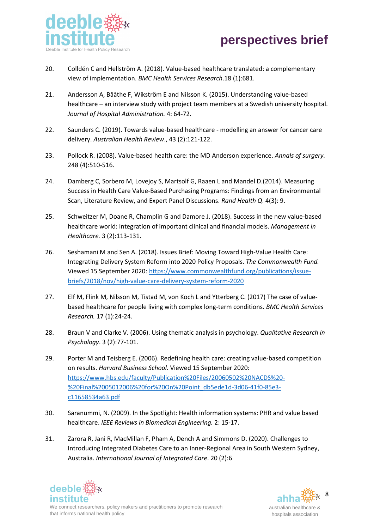

- <span id="page-17-0"></span>20. Colldén C and Hellström A. (2018). Value-based healthcare translated: a complementary view of implementation. *BMC Health Services Research*.18 (1):681.
- <span id="page-17-1"></span>21. Andersson A, Bååthe F, Wikström E and Nilsson K. (2015). Understanding value-based healthcare – an interview study with project team members at a Swedish university hospital. *Journal of Hospital Administration.* 4: 64-72.
- 22. Saunders C. (2019). Towards value-based healthcare modelling an answer for cancer care delivery. *Australian Health Review*., 43 (2):121-122.
- 23. Pollock R. (2008). Value-based health care: the MD Anderson experience. *Annals of surgery.*  248 (4):510-516.
- 24. Damberg C, Sorbero M, Lovejoy S, Martsolf G, Raaen L and Mandel D.(2014). Measuring Success in Health Care Value-Based Purchasing Programs: Findings from an Environmental Scan, Literature Review, and Expert Panel Discussions. *Rand Health Q*. 4(3): 9.
- 25. Schweitzer M, Doane R, Champlin G and Damore J. (2018). Success in the new value-based healthcare world: Integration of important clinical and financial models. *Management in Healthcare.* 3 (2):113-131.
- <span id="page-17-3"></span>26. Seshamani M and Sen A. (2018). Issues Brief: Moving Toward High-Value Health Care: Integrating Delivery System Reform into 2020 Policy Proposals. *The Commonwealth Fund.* Viewed 15 September 2020: [https://www.commonwealthfund.org/publications/issue](about:blank)[briefs/2018/nov/high-value-care-delivery-system-reform-2020](about:blank)
- 27. Elf M, Flink M, Nilsson M, Tistad M, von Koch L and Ytterberg C. (2017) The case of valuebased healthcare for people living with complex long-term conditions. *BMC Health Services Research.* 17 (1):24-24.
- 28. Braun V and Clarke V. (2006). Using thematic analysis in psychology. *Qualitative Research in Psychology*. 3 (2):77-101.
- <span id="page-17-2"></span>29. Porter M and Teisberg E. (2006). Redefining health care: creating value-based competition on results. *Harvard Business School*. Viewed 15 September 2020: [https://www.hbs.edu/faculty/Publication%20Files/20060502%20NACDS%20-](about:blank) [%20Final%2005012006%20for%20On%20Point\\_db5ede1d-3d06-41f0-85e3](about:blank) [c11658534a63.pdf](about:blank)
- 30. Saranummi, N. (2009). In the Spotlight: Health information systems: PHR and value based healthcare. *IEEE Reviews in Biomedical Engineering.* 2: 15-17.
- 31. Zarora R, Jani R, MacMillan F, Pham A, Dench A and Simmons D. (2020). Challenges to Introducing Integrated Diabetes Care to an Inner-Regional Area in South Western Sydney, Australia. *International Journal of Integrated Care*. 20 (2):6